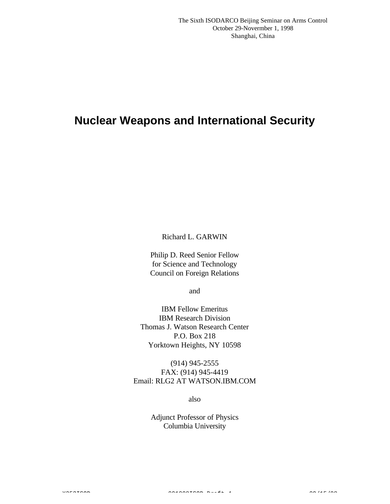# **Nuclear Weapons and International Security**

Richard L. GARWIN

Philip D. Reed Senior Fellow for Science and Technology Council on Foreign Relations

and

IBM Fellow Emeritus IBM Research Division Thomas J. Watson Research Center P.O. Box 218 Yorktown Heights, NY 10598

(914) 945-2555 FAX: (914) 945-4419 Email: RLG2 AT WATSON.IBM.COM

also

Adjunct Professor of Physics Columbia University

X253ISOD 091098ISOD Draft 4 09/15/98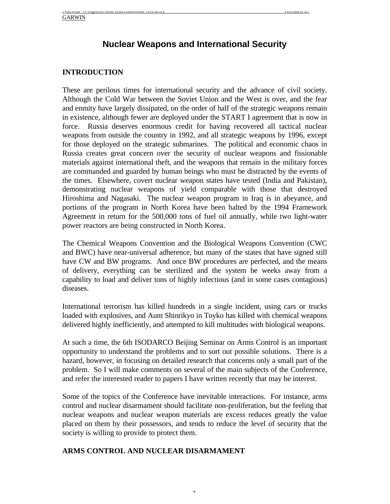## **Nuclear Weapons and International Security**

## **INTRODUCTION**

These are perilous times for international security and the advance of civil society. Although the Cold War between the Soviet Union and the West is over, and the fear and enmity have largely dissipated, on the order of half of the strategic weapons remain in existence, although fewer are deployed under the START I agreement that is now in force. Russia deserves enormous credit for having recovered all tactical nuclear weapons from outside the country in 1992, and all strategic weapons by 1996, except for those deployed on the strategic submarines. The political and economic chaos in Russia creates great concern over the security of nuclear weapons and fissionable materials against international theft, and the weapons that remain in the military forces are commanded and guarded by human beings who must be distracted by the events of the times. Elsewhere, covert nuclear weapon states have tested (India and Pakistan), demonstrating nuclear weapons of yield comparable with those that destroyed Hiroshima and Nagasaki. The nuclear weapon program in Iraq is in abeyance, and portions of the program in North Korea have been halted by the 1994 Framework Agreement in return for the 500,000 tons of fuel oil annually, while two light-water power reactors are being constructed in North Korea.

The Chemical Weapons Convention and the Biological Weapons Convention (CWC and BWC) have near-universal adherence, but many of the states that have signed still have CW and BW programs. And once BW procedures are perfected, and the means of delivery, everything can be sterilized and the system be weeks away from a capability to load and deliver tons of highly infectious (and in some cases contagious) diseases.

International terrorism has killed hundreds in a single incident, using cars or trucks loaded with explosives, and Aum Shinrikyo in Toyko has killed with chemical weapons delivered highly inefficiently, and attempted to kill multitudes with biological weapons.

At such a time, the 6th ISODARCO Beijing Seminar on Arms Control is an important opportunity to understand the problems and to sort out possible solutions. There is a hazard, however, in focusing on detailed research that concerns only a small part of the problem. So I will make comments on several of the main subjects of the Conference, and refer the interested reader to papers I have written recently that may be interest.

Some of the topics of the Conference have inevitable interactions. For instance, arms control and nuclear disarmament should facilitate non-proliferation, but the feeling that nuclear weapons and nuclear weapon materials are excess reduces greatly the value placed on them by their possessors, and tends to reduce the level of security that the society is willing to provide to protect them.

## **ARMS CONTROL AND NUCLEAR DISARMAMENT**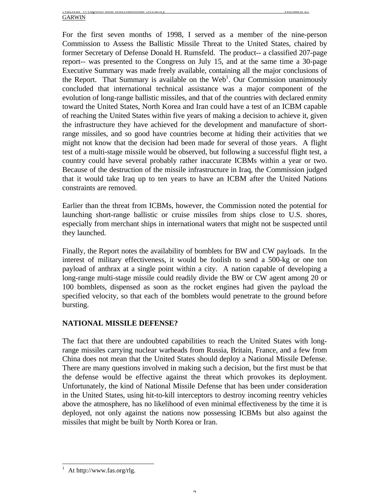#### Nuclear Weapons and International Security Richard L. **GARWIN**

For the first seven months of 1998, I served as a member of the nine-person Commission to Assess the Ballistic Missile Threat to the United States, chaired by former Secretary of Defense Donald H. Rumsfeld. The product-- a classified 207-page report-- was presented to the Congress on July 15, and at the same time a 30-page Executive Summary was made freely available, containing all the major conclusions of the Report. That Summary is available on the Web<sup>1</sup>. Our Commission unanimously concluded that international technical assistance was a major component of the evolution of long-range ballistic missiles, and that of the countries with declared enmity toward the United States, North Korea and Iran could have a test of an ICBM capable of reaching the United States within five years of making a decision to achieve it, given the infrastructure they have achieved for the development and manufacture of shortrange missiles, and so good have countries become at hiding their activities that we might not know that the decision had been made for several of those years. A flight test of a multi-stage missile would be observed, but following a successful flight test, a country could have several probably rather inaccurate ICBMs within a year or two. Because of the destruction of the missile infrastructure in Iraq, the Commission judged that it would take Iraq up to ten years to have an ICBM after the United Nations constraints are removed.

Earlier than the threat from ICBMs, however, the Commission noted the potential for launching short-range ballistic or cruise missiles from ships close to U.S. shores, especially from merchant ships in international waters that might not be suspected until they launched.

Finally, the Report notes the availability of bomblets for BW and CW payloads. In the interest of military effectiveness, it would be foolish to send a 500-kg or one ton payload of anthrax at a single point within a city. A nation capable of developing a long-range multi-stage missile could readily divide the BW or CW agent among 20 or 100 bomblets, dispensed as soon as the rocket engines had given the payload the specified velocity, so that each of the bomblets would penetrate to the ground before bursting.

## **NATIONAL MISSILE DEFENSE?**

The fact that there are undoubted capabilities to reach the United States with longrange missiles carrying nuclear warheads from Russia, Britain, France, and a few from China does not mean that the United States should deploy a National Missile Defense. There are many questions involved in making such a decision, but the first must be that the defense would be effective against the threat which provokes its deployment. Unfortunately, the kind of National Missile Defense that has been under consideration in the United States, using hit-to-kill interceptors to destroy incoming reentry vehicles above the atmosphere, has no likelihood of even minimal effectiveness by the time it is deployed, not only against the nations now possessing ICBMs but also against the missiles that might be built by North Korea or Iran.

 $\overline{a}$ 

At http://www.fas.org/rlg.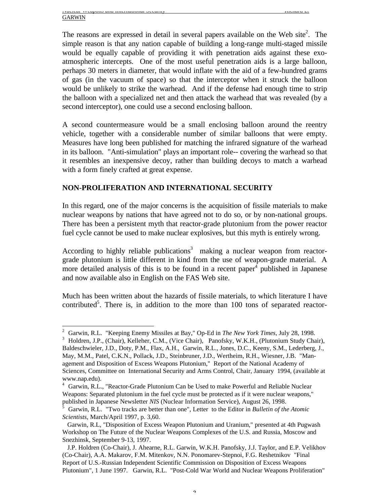#### Nuclear Weapons and International Security Richard L. **GARWIN**

 $\overline{a}$ 

The reasons are expressed in detail in several papers available on the Web site<sup>2</sup>. The simple reason is that any nation capable of building a long-range multi-staged missile would be equally capable of providing it with penetration aids against these exoatmospheric intercepts. One of the most useful penetration aids is a large balloon, perhaps 30 meters in diameter, that would inflate with the aid of a few-hundred grams of gas (in the vacuum of space) so that the interceptor when it struck the balloon would be unlikely to strike the warhead. And if the defense had enough time to strip the balloon with a specialized net and then attack the warhead that was revealed (by a second interceptor), one could use a second enclosing balloon.

A second countermeasure would be a small enclosing balloon around the reentry vehicle, together with a considerable number of similar balloons that were empty. Measures have long been published for matching the infrared signature of the warhead in its balloon. "Anti-simulation" plays an important role-- covering the warhead so that it resembles an inexpensive decoy, rather than building decoys to match a warhead with a form finely crafted at great expense.

## **NON-PROLIFERATION AND INTERNATIONAL SECURITY**

In this regard, one of the major concerns is the acquisition of fissile materials to make nuclear weapons by nations that have agreed not to do so, or by non-national groups. There has been a persistent myth that reactor-grade plutonium from the power reactor fuel cycle cannot be used to make nuclear explosives, but this myth is entirely wrong.

According to highly reliable publications<sup>3</sup> making a nuclear weapon from reactorgrade plutonium is little different in kind from the use of weapon-grade material. A more detailed analysis of this is to be found in a recent paper<sup>4</sup> published in Japanese and now available also in English on the FAS Web site.

Much has been written about the hazards of fissile materials, to which literature I have contributed<sup>5</sup>. There is, in addition to the more than 100 tons of separated reactor-

<sup>2</sup> Garwin, R.L. "Keeping Enemy Missiles at Bay," Op-Ed in *The New York Times*, July 28, 1998.

<sup>&</sup>lt;sup>3</sup> Holdren, J.P., (Chair), Kelleher, C.M., (Vice Chair), Panofsky, W.K.H., (Plutonium Study Chair), Baldeschwieler, J.D., Doty, P.M., Flax, A.H., Garwin, R.L., Jones, D.C., Keeny, S.M., Lederberg, J., May, M.M., Patel, C.K.N., Pollack, J.D., Steinbruner, J.D., Wertheim, R.H., Wiesner, J.B. "Management and Disposition of Excess Weapons Plutonium," Report of the National Academy of Sciences, Committee on International Security and Arms Control, Chair, January 1994, (available at www.nap.edu).

<sup>&</sup>lt;sup>4</sup> Garwin, R.L., "Reactor-Grade Plutonium Can be Used to make Powerful and Reliable Nuclear Weapons: Separated plutonium in the fuel cycle must be protected as if it were nuclear weapons," published in Japanese Newsletter *NIS* (Nuclear Information Service), August 26, 1998.

<sup>5</sup> Garwin, R.L. "Two tracks are better than one", Letter to the Editor in *Bulletin of the Atomic Scientists*, March/April 1997, p. 3,60.

Garwin, R.L, "Disposition of Excess Weapon Plutonium and Uranium," presented at 4th Pugwash Workshop on The Future of the Nuclear Weapons Complexes of the U.S. and Russia, Moscow and Snezhinsk, September 9-13, 1997.

J.P. Holdren (Co-Chair), J. Ahearne, R.L. Garwin, W.K.H. Panofsky, J.J. Taylor, and E.P. Velikhov (Co-Chair), A.A. Makarov, F.M. Mitenkov, N.N. Ponomarev-Stepnoi, F.G. Reshetnikov "Final Report of U.S.-Russian Independent Scientific Commission on Disposition of Excess Weapons Plutonium", 1 June 1997. Garwin, R.L. "Post-Cold War World and Nuclear Weapons Proliferation"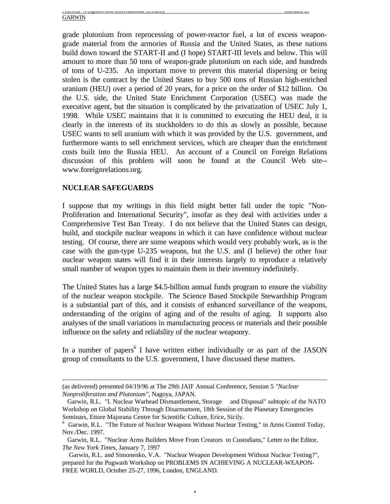#### Nuclear Weapons and International Security Richard L. **GARWIN**

 $\overline{a}$ 

grade plutonium from reprocessing of power-reactor fuel, a lot of excess weapongrade material from the armories of Russia and the United States, as these nations build down toward the START-II and (I hope) START-III levels and below. This will amount to more than 50 tons of weapon-grade plutonium on each side, and hundreds of tons of U-235. An important move to prevent this material dispersing or being stolen is the contract by the United States to buy 500 tons of Russian high-enriched uranium (HEU) over a period of 20 years, for a price on the order of \$12 billion. On the U.S. side, the United State Enrichment Corporation (USEC) was made the executive agent, but the situation is complicated by the privatization of USEC July 1, 1998. While USEC maintains that it is committed to executing the HEU deal, it is clearly in the interests of its stockholders to do this as slowly as possible, because USEC wants to sell uranium with which it was provided by the U.S. government, and furthermore wants to sell enrichment services, which are cheaper than the enrichment costs built into the Russia HEU. An account of a Council on Foreign Relations discussion of this problem will soon be found at the Council Web site- www.foreignrelations.org.

## **NUCLEAR SAFEGUARDS**

I suppose that my writings in this field might better fall under the topic "Non-Proliferation and International Security", insofar as they deal with activities under a Comprehensive Test Ban Treaty. I do not believe that the United States can design, build, and stockpile nuclear weapons in which it can have confidence without nuclear testing. Of course, there are some weapons which would very probably work, as is the case with the gun-type U-235 weapons, but the U.S. and (I believe) the other four nuclear weapon states will find it in their interests largely to reproduce a relatively small number of weapon types to maintain them in their inventory indefinitely.

The United States has a large \$4.5-billion annual funds program to ensure the viability of the nuclear weapon stockpile. The Science Based Stockpile Stewardship Program is a substantial part of this, and it consists of enhanced surveillance of the weapons, understanding of the origins of aging and of the results of aging. It supports also analyses of the small variations in manufacturing process or materials and their possible influence on the safety and reliability of the nuclear weaponry.

In a number of papers<sup>6</sup> I have written either individually or as part of the JASON group of consultants to the U.S. government, I have discussed these matters.

<sup>(</sup>as delivered) presented 04/19/96 at The 29th JAIF Annual Conference, Session 5 *"Nuclear Nonproliferation and Plutonium",* Nagoya, JAPAN.

Garwin, R.L. "I. Nuclear Warhead Dismantlement, Storage and Disposal" subtopic of the NATO Workshop on Global Stability Through Disarmament, 18th Session of the Planetary Emergencies Seminars, Ettore Majorana Centre for Scientific Culture, Erice, Sicily.

<sup>&</sup>lt;sup>6</sup> Garwin, R.L. "The Future of Nuclear Weapons Without Nuclear Testing," in Arms Control Today, Nov./Dec. 1997.

Garwin, R.L. "Nuclear Arms Builders Move From Creators to Custodians," Letter to the Editor, *The New York Times*, January 7, 1997

Garwin, R.L. and Simonenko, V.A. "Nuclear Weapon Development Without Nuclear Testing?", prepared for the Pugwash Workshop on PROBLEMS IN ACHIEVING A NUCLEAR-WEAPON-FREE WORLD, October 25-27, 1996, London, ENGLAND.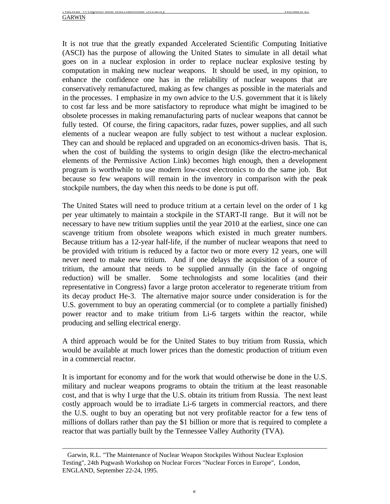$\overline{a}$ 

It is not true that the greatly expanded Accelerated Scientific Computing Initiative (ASCI) has the purpose of allowing the United States to simulate in all detail what goes on in a nuclear explosion in order to replace nuclear explosive testing by computation in making new nuclear weapons. It should be used, in my opinion, to enhance the confidence one has in the reliability of nuclear weapons that are conservatively remanufactured, making as few changes as possible in the materials and in the processes. I emphasize in my own advice to the U.S. government that it is likely to cost far less and be more satisfactory to reproduce what might be imagined to be obsolete processes in making remanufacturing parts of nuclear weapons that cannot be fully tested. Of course, the firing capacitors, radar fuzes, power supplies, and all such elements of a nuclear weapon are fully subject to test without a nuclear explosion. They can and should be replaced and upgraded on an economics-driven basis. That is, when the cost of building the systems to origin design (like the electro-mechanical elements of the Permissive Action Link) becomes high enough, then a development program is worthwhile to use modern low-cost electronics to do the same job. But because so few weapons will remain in the inventory in comparison with the peak stockpile numbers, the day when this needs to be done is put off.

The United States will need to produce tritium at a certain level on the order of 1 kg per year ultimately to maintain a stockpile in the START-II range. But it will not be necessary to have new tritium supplies until the year 2010 at the earliest, since one can scavenge tritium from obsolete weapons which existed in much greater numbers. Because tritium has a 12-year half-life, if the number of nuclear weapons that need to be provided with tritium is reduced by a factor two or more every 12 years, one will never need to make new tritium. And if one delays the acquisition of a source of tritium, the amount that needs to be supplied annually (in the face of ongoing reduction) will be smaller. Some technologists and some localities (and their representative in Congress) favor a large proton accelerator to regenerate tritium from its decay product He-3. The alternative major source under consideration is for the U.S. government to buy an operating commercial (or to complete a partially finished) power reactor and to make tritium from Li-6 targets within the reactor, while producing and selling electrical energy.

A third approach would be for the United States to buy tritium from Russia, which would be available at much lower prices than the domestic production of tritium even in a commercial reactor.

It is important for economy and for the work that would otherwise be done in the U.S. military and nuclear weapons programs to obtain the tritium at the least reasonable cost, and that is why I urge that the U.S. obtain its tritium from Russia. The next least costly approach would be to irradiate Li-6 targets in commercial reactors, and there the U.S. ought to buy an operating but not very profitable reactor for a few tens of millions of dollars rather than pay the \$1 billion or more that is required to complete a reactor that was partially built by the Tennessee Valley Authority (TVA).

Garwin, R.L. "The Maintenance of Nuclear Weapon Stockpiles Without Nuclear Explosion Testing", 24th Pugwash Workshop on Nuclear Forces "Nuclear Forces in Europe", London, ENGLAND, September 22-24, 1995.